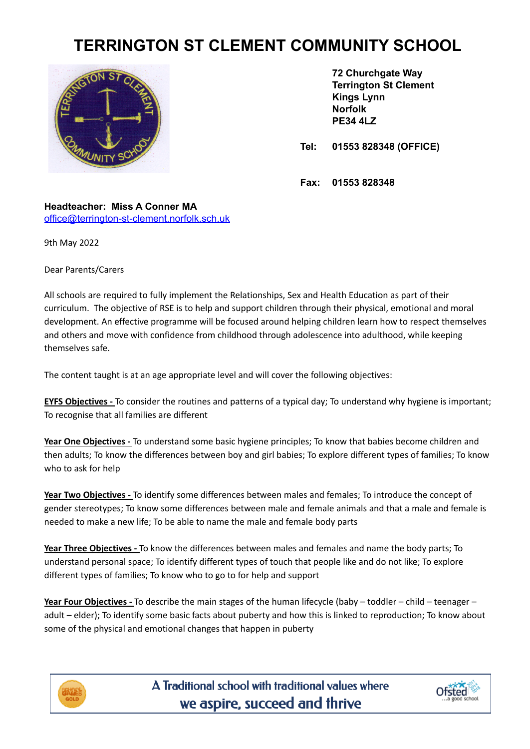## **TERRINGTON ST CLEMENT COMMUNITY SCHOOL**



**72 Churchgate Way Terrington St Clement Kings Lynn Norfolk PE34 4LZ**

**Tel: 01553 828348 (OFFICE)**

**Fax: 01553 828348**

**Headteacher: Miss A Conner MA** [office@terrington-st-clement.norfolk.sch.uk](mailto:office@terrington-st-clement.norfolk.sch.uk)

9th May 2022

Dear Parents/Carers

All schools are required to fully implement the Relationships, Sex and Health Education as part of their curriculum. The objective of RSE is to help and support children through their physical, emotional and moral development. An effective programme will be focused around helping children learn how to respect themselves and others and move with confidence from childhood through adolescence into adulthood, while keeping themselves safe.

The content taught is at an age appropriate level and will cover the following objectives:

**EYFS Objectives -** To consider the routines and patterns of a typical day; To understand why hygiene is important; To recognise that all families are different

**Year One Objectives -** To understand some basic hygiene principles; To know that babies become children and then adults; To know the differences between boy and girl babies; To explore different types of families; To know who to ask for help

**Year Two Objectives -** To identify some differences between males and females; To introduce the concept of gender stereotypes; To know some differences between male and female animals and that a male and female is needed to make a new life; To be able to name the male and female body parts

**Year Three Objectives -** To know the differences between males and females and name the body parts; To understand personal space; To identify different types of touch that people like and do not like; To explore different types of families; To know who to go to for help and support

**Year Four Objectives -** To describe the main stages of the human lifecycle (baby – toddler – child – teenager – adult – elder); To identify some basic facts about puberty and how this is linked to reproduction; To know about some of the physical and emotional changes that happen in puberty



A Traditional school with traditional values where we aspire, succeed and thrive